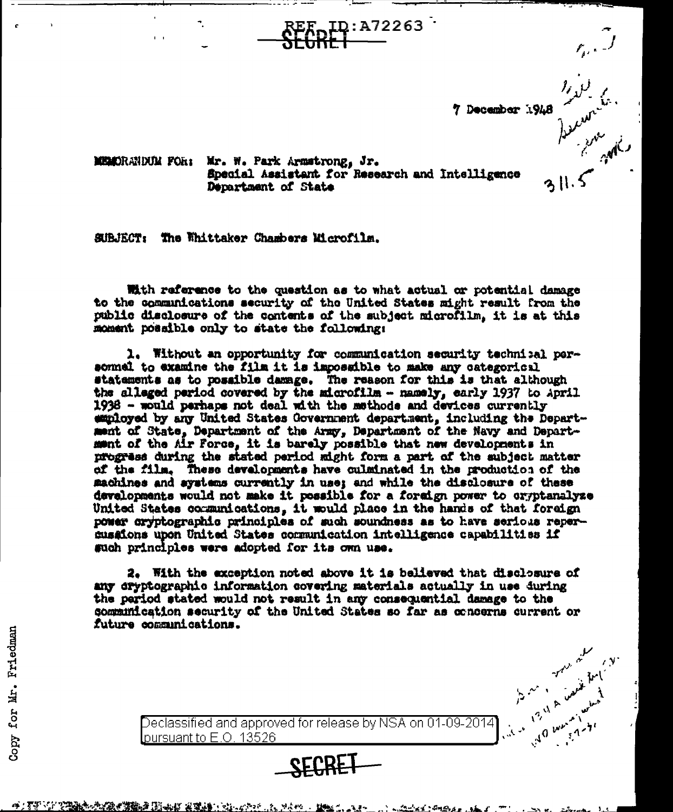7 December 1948

B in the

MEMORANDUM FOR: Mr. W. Park Armstrong, Jr. Special Assistant for Research and Intelligence Department of State

SUBJECT: The Whittaker Chambers Microfilm.

With reference to the question as to what actual or potential damage to the communications security of the United States might result from the public disclesure of the contents of the subject microfilm, it is at this moment possible only to state the following:

ID:A72263 <sup>.</sup>

1. Without an opportunity for communication security technical personnel to examine the film it is impossible to make any categorical statements as to possible damage. The reason for this is that although the alleged period covered by the microfilm - namely, early 1937 to April 1938 - would perhaps not deal with the methods and devices currently employed by any United States Government department, including the Department of State, Department of the Army, Department of the Navy and Department of the Air Force, it is barely possible that new developments in progress during the stated period might form a part of the subject matter of the film. These developments have culminated in the production of the machines and aystems currently in use; and while the disclosure of these developments would not make it possible for a foreign power to cryptanalyze United States communications, it would place in the hands of that foreign power cryptographic principles of such soundness as to have serious repercusaions upon United States communication intelligence capabilities if such principles were adopted for its own use.

2. With the exception noted above it is believed that disclosure of any dryptographio information covering materials actually in use during the pariod stated would not result in any consequential damage to the communication security of the United States so far as concerns current or future communications.

Declassified and approved for release by NSA on 01-09-2014<br>
Dursuant to E.O. 13526<br>
SECRET SECRET